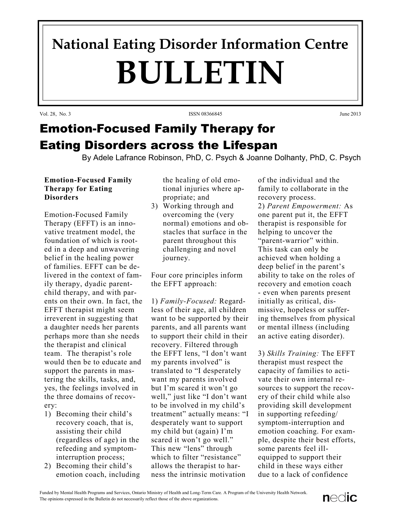# **National Eating Disorder Information Centre BULLETIN**

Vol. 28, No. 3 June 2013

## Emotion-Focused Family Therapy for Eating Disorders across the Lifespan

By Adele Lafrance Robinson, PhD, C. Psych & Joanne Dolhanty, PhD, C. Psych

### **Emotion-Focused Family Therapy for Eating Disorders**

Emotion-Focused Family Therapy (EFFT) is an innovative treatment model, the foundation of which is rooted in a deep and unwavering belief in the healing power of families. EFFT can be delivered in the context of family therapy, dyadic parentchild therapy, and with parents on their own. In fact, the EFFT therapist might seem irreverent in suggesting that a daughter needs her parents perhaps more than she needs the therapist and clinical team. The therapist's role would then be to educate and support the parents in mastering the skills, tasks, and, yes, the feelings involved in the three domains of recovery:

- 1) Becoming their child's recovery coach, that is, assisting their child (regardless of age) in the refeeding and symptominterruption process;
- 2) Becoming their child's emotion coach, including

the healing of old emotional injuries where appropriate; and

3) Working through and overcoming the (very normal) emotions and obstacles that surface in the parent throughout this challenging and novel journey.

Four core principles inform the EFFT approach:

1) *Family-Focused:* Regardless of their age, all children want to be supported by their parents, and all parents want to support their child in their recovery. Filtered through the EFFT lens, "I don't want my parents involved" is translated to "I desperately want my parents involved but I'm scared it won't go well," just like "I don't want to be involved in my child's treatment" actually means: "I desperately want to support my child but (again) I'm scared it won't go well." This new "lens" through which to filter "resistance" allows the therapist to harness the intrinsic motivation

of the individual and the family to collaborate in the recovery process.

2) *Parent Empowerment:* As one parent put it, the EFFT therapist is responsible for helping to uncover the "parent-warrior" within. This task can only be achieved when holding a deep belief in the parent's ability to take on the roles of recovery and emotion coach - even when parents present initially as critical, dismissive, hopeless or suffering themselves from physical or mental illness (including an active eating disorder).

3) *Skills Training:* The EFFT therapist must respect the capacity of families to activate their own internal resources to support the recovery of their child while also providing skill development in supporting refeeding/ symptom-interruption and emotion coaching. For example, despite their best efforts, some parents feel illequipped to support their child in these ways either due to a lack of confidence

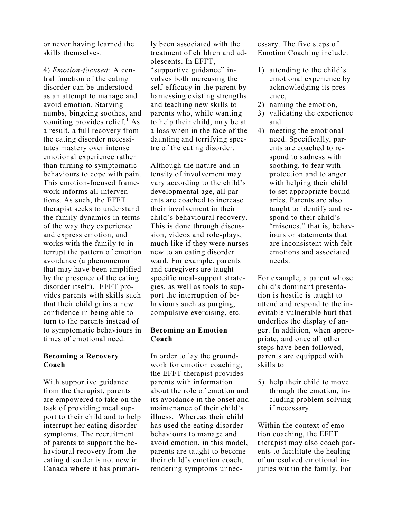or never having learned the skills themselves.

4) *Emotion-focused:* A central function of the eating disorder can be understood as an attempt to manage and avoid emotion. Starving numbs, bingeing soothes, and vomiting provides relief. $<sup>1</sup>$  As</sup> a result, a full recovery from the eating disorder necessitates mastery over intense emotional experience rather than turning to symptomatic behaviours to cope with pain. This emotion-focused framework informs all interventions. As such, the EFFT therapist seeks to understand the family dynamics in terms of the way they experience and express emotion, and works with the family to interrupt the pattern of emotion avoidance (a phenomenon that may have been amplified by the presence of the eating disorder itself). EFFT provides parents with skills such that their child gains a new confidence in being able to turn to the parents instead of to symptomatic behaviours in times of emotional need.

#### **Becoming a Recovery Coach**

With supportive guidance from the therapist, parents are empowered to take on the task of providing meal support to their child and to help interrupt her eating disorder symptoms. The recruitment of parents to support the behavioural recovery from the eating disorder is not new in Canada where it has primarily been associated with the treatment of children and adolescents. In EFFT, "supportive guidance" involves both increasing the self-efficacy in the parent by harnessing existing strengths and teaching new skills to parents who, while wanting to help their child, may be at a loss when in the face of the daunting and terrifying spectre of the eating disorder.

Although the nature and intensity of involvement may vary according to the child's developmental age, all parents are coached to increase their involvement in their child's behavioural recovery. This is done through discussion, videos and role-plays, much like if they were nurses new to an eating disorder ward. For example, parents and caregivers are taught specific meal-support strategies, as well as tools to support the interruption of behaviours such as purging, compulsive exercising, etc.

#### **Becoming an Emotion Coach**

In order to lay the groundwork for emotion coaching, the EFFT therapist provides parents with information about the role of emotion and its avoidance in the onset and maintenance of their child's illness. Whereas their child has used the eating disorder behaviours to manage and avoid emotion, in this model, parents are taught to become their child's emotion coach, rendering symptoms unnecessary. The five steps of Emotion Coaching include:

- 1) attending to the child's emotional experience by acknowledging its presence,
- 2) naming the emotion,
- 3) validating the experience and
- 4) meeting the emotional need. Specifically, parents are coached to respond to sadness with soothing, to fear with protection and to anger with helping their child to set appropriate boundaries. Parents are also taught to identify and respond to their child's "miscues," that is, behaviours or statements that are inconsistent with felt emotions and associated needs.

For example, a parent whose child's dominant presentation is hostile is taught to attend and respond to the inevitable vulnerable hurt that underlies the display of anger. In addition, when appropriate, and once all other steps have been followed, parents are equipped with skills to

5) help their child to move through the emotion, including problem-solving if necessary.

Within the context of emotion coaching, the EFFT therapist may also coach parents to facilitate the healing of unresolved emotional injuries within the family. For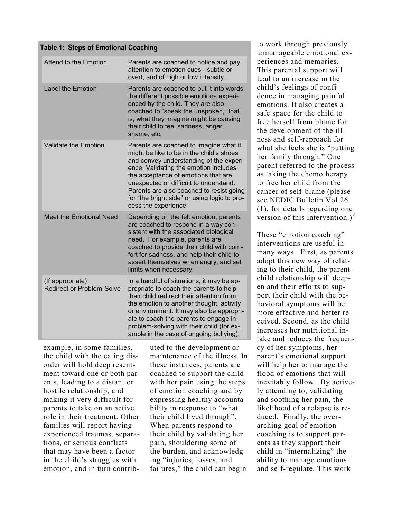|  |  | <b>Table 1: Steps of Emotional Coaching</b> |  |
|--|--|---------------------------------------------|--|
|--|--|---------------------------------------------|--|

| <b>Attend to the Emotion</b>                         | Parents are coached to notice and pay<br>attention to emotion cues - subtle or<br>overt, and of high or low intensity.                                                                                                                                                                                                                                                      |  |
|------------------------------------------------------|-----------------------------------------------------------------------------------------------------------------------------------------------------------------------------------------------------------------------------------------------------------------------------------------------------------------------------------------------------------------------------|--|
| <b>Label the Emotion</b>                             | Parents are coached to put it into words<br>the different possible emotions experi-<br>enced by the child. They are also<br>coached to "speak the unspoken," that<br>is, what they imagine might be causing<br>their child to feel sadness, anger,<br>shame, etc.                                                                                                           |  |
| <b>Validate the Emotion</b>                          | Parents are coached to imagine what it<br>might be like to be in the child's shoes<br>and convey understanding of the experi-<br>ence. Validating the emotion includes<br>the acceptance of emotions that are<br>unexpected or difficult to understand.<br>Parents are also coached to resist going<br>for "the bright side" or using logic to pro-<br>cess the experience. |  |
| Meet the Emotional Need                              | Depending on the felt emotion, parents<br>are coached to respond in a way con-<br>sistent with the associated biological<br>need. For example, parents are<br>coached to provide their child with com-<br>fort for sadness, and help their child to<br>assert themselves when angry, and set<br>limits when necessary.                                                      |  |
| (If appropriate)<br><b>Redirect or Problem-Solve</b> | In a handful of situations, it may be ap-<br>propriate to coach the parents to help<br>their child redirect their attention from<br>the emotion to another thought, activity<br>or environment. It may also be appropri-<br>ate to coach the parents to engage in<br>problem-solving with their child (for ex-<br>ample in the case of ongoing bullying).                   |  |

example, in some families, the child with the eating disorder will hold deep resentment toward one or both parents, leading to a distant or hostile relationship, and making it very difficult for parents to take on an active role in their treatment. Other families will report having experienced traumas, separations, or serious conflicts that may have been a factor in the child's struggles with emotion, and in turn contributed to the development or maintenance of the illness. In these instances, parents are coached to support the child with her pain using the steps of emotion coaching and by expressing healthy accountability in response to "what their child lived through". When parents respond to their child by validating her pain, shouldering some of the burden, and acknowledging "injuries, losses, and failures," the child can begin

to work through previously unmanageable emotional experiences and memories. This parental support will lead to an increase in the child's feelings of confidence in managing painful emotions. It also creates a safe space for the child to free herself from blame for the development of the illness and self-reproach for what she feels she is "putting her family through." One parent referred to the process as taking the chemotherapy to free her child from the cancer of self-blame (please see NEDIC Bulletin Vol 26 (1), for details regarding one version of this intervention.)<sup>2</sup>

These "emotion coaching" interventions are useful in many ways. First, as parents adopt this new way of relating to their child, the parentchild relationship will deepen and their efforts to support their child with the behavioral symptoms will be more effective and better received. Second, as the child increases her nutritional intake and reduces the frequency of her symptoms, her parent's emotional support will help her to manage the flood of emotions that will inevitably follow. By actively attending to, validating and soothing her pain, the likelihood of a relapse is reduced. Finally, the overarching goal of emotion coaching is to support parents as they support their child in "internalizing" the ability to manage emotions and self-regulate. This work